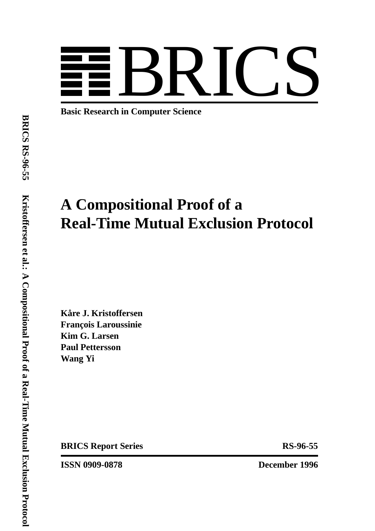

**Basic Research in Computer Science**

# **A Compositional Proof of a Real-Time Mutual Exclusion Protocol**

 $K$ åre J. Kristoffersen **Franc¸ois Laroussinie Kim G. Larsen Paul Pettersson Wang Yi**

**BRICS Report Series** RS-96-55

**ISSN 0909-0878 December 1996**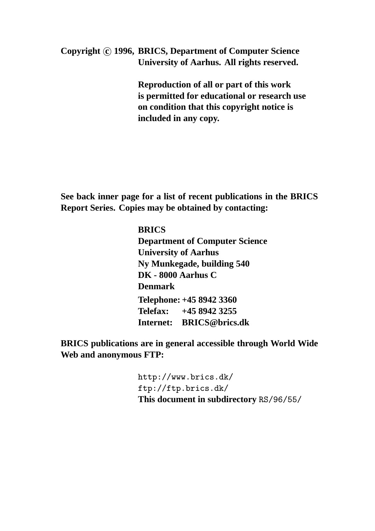**Copyright c 1996, BRICS, Department of Computer Science University of Aarhus. All rights reserved.**

> **Reproduction of all or part of this work is permitted for educational or research use on condition that this copyright notice is included in any copy.**

**See back inner page for a list of recent publications in the BRICS Report Series. Copies may be obtained by contacting:**

> **BRICS Department of Computer Science University of Aarhus Ny Munkegade, building 540 DK - 8000 Aarhus C Denmark Telephone: +45 8942 3360 Telefax: +45 8942 3255 Internet: BRICS@brics.dk**

**BRICS publications are in general accessible through World Wide Web and anonymous FTP:**

> http://www.brics.dk/ ftp://ftp.brics.dk/ **This document in subdirectory** RS/96/55/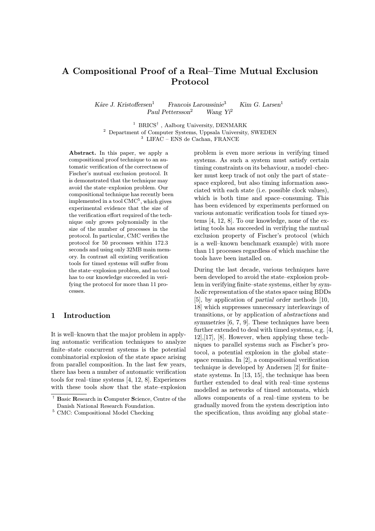## A Compositional Proof of a Real–Time Mutual Exclusion Protocol

Kåre J. Kristoffersen<sup>1</sup> Francois Laroussinie<sup>3</sup> Kim G. Larsen<sup>1</sup> Paul Pettersson<sup>2</sup> Wang Yi<sup>2</sup>

 $^1$ BRICS $^{\dagger}$ , Aalborg University, DENMARK <sup>2</sup> Department of Computer Systems, Uppsala University, SWEDEN <sup>3</sup> LIFAC – ENS de Cachan, FRANCE

Abstract. In this paper, we apply a compositional proof technique to an automatic verification of the correctness of Fischer's mutual exclusion protocol. It is demonstrated that the technique may avoid the state–explosion problem. Our compositional technique has recently been implemented in a tool  $\mathrm{CMC}^5,$  which gives experimental evidence that the size of the verification effort required of the technique only grows polynomially in the size of the number of processes in the protocol. In particular, CMC verifies the protocol for 50 processes within 172.3 seconds and using only 32MB main memory. In contrast all existing verification tools for timed systems will suffer from the state–explosion problem, and no tool has to our knowledge succeeded in verifying the protocol for more than 11 processes.

### 1 Introduction

It is well–known that the major problem in applying automatic verification techniques to analyze finite–state concurrent systems is the potential combinatorial explosion of the state space arising from parallel composition. In the last few years, there has been a number of automatic verification tools for real–time systems [4, 12, 8]. Experiences with these tools show that the state–explosion

problem is even more serious in verifying timed systems. As such a system must satisfy certain timing constraints on its behaviour, a model–checker must keep track of not only the part of state– space explored, but also timing information associated with each state (i.e. possible clock values), which is both time and space–consuming. This has been evidenced by experiments performed on various automatic verification tools for timed systems [4, 12, 8]. To our knowledge, none of the existing tools has succeeded in verifying the mutual exclusion property of Fischer's protocol (which is a well–known benchmark example) with more than 11 processes regardless of which machine the tools have been installed on.

During the last decade, various techniques have been developed to avoid the state–explosion problem in verifying finite–state systems, either by symbolic representation of the states space using BDDs [5], by application of partial order methods [10, 18] which suppresses unnecessary interleavings of transitions, or by application of abstractions and symmetries [6, 7, 9]. These techniques have been further extended to deal with timed systems, e.g. [4, 12],[17], [8]. However, when applying these techniques to parallel systems such as Fischer's protocol, a potential explosion in the global state– space remains. In [2], a compositional verification technique is developed by Andersen [2] for finite– state systems. In [13, 15], the technique has been further extended to deal with real–time systems modelled as networks of timed automata, which allows components of a real–time system to be gradually moved from the system description into the specification, thus avoiding any global state–

<sup>†</sup> Basic Research in Computer Science, Centre of the Danish National Research Foundation.

 $^5$  CMC: Compositional Model Checking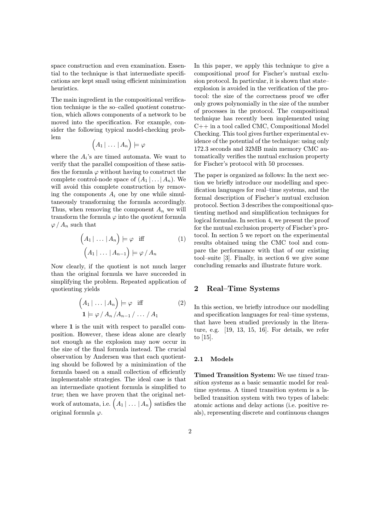space construction and even examination. Essential to the technique is that intermediate specifications are kept small using efficient minimization heuristics.

The main ingredient in the compositional verification technique is the so–called quotient construction, which allows components of a network to be moved into the specification. For example, consider the following typical model-checking prob- $\lim$  (

$$
\Big( A_1\,|\,\ldots\,|\,A_n\Big)\models\varphi
$$

where the  $A_i$ 's are timed automata. We want to verify that the parallel composition of these satisfies the formula  $\varphi$  without having to construct the complete control-node space of  $(A_1 | ... | A_n)$ . We will avoid this complete construction by removing the components  $A_i$  one by one while simultaneously transforming the formula accordingly. Thus, when removing the component  $A_n$  we will transform the formula  $\varphi$  into the quotient formula  $\varphi$  /  $A_n$  such that

$$
\left(A_1 | \ldots | A_n\right) \models \varphi \quad \text{iff} \tag{1}
$$
\n
$$
\left(A_1 | \ldots | A_{n-1}\right) \models \varphi / A_n
$$

Now clearly, if the quotient is not much larger than the original formula we have succeeded in simplifying the problem. Repeated application of quotienting yields

$$
\left(A_1 | \dots | A_n\right) \models \varphi \text{ iff } (2)
$$
  

$$
\mathbf{1} \models \varphi / A_n / A_{n-1} / \dots / A_1
$$

where 1 is the unit with respect to parallel composition. However, these ideas alone are clearly not enough as the explosion may now occur in the size of the final formula instead. The crucial observation by Andersen was that each quotienting should be followed by a minimization of the formula based on a small collection of efficiently implementable strategies. The ideal case is that an intermediate quotient formula is simplified to true; then we have proven that the original network of automata, i.e.  $(A_1 | ... | A_n)$  satisfies the original formula ϕ.

In this paper, we apply this technique to give a compositional proof for Fischer's mutual exclusion protocol. In particular, it is shown that state– explosion is avoided in the verification of the protocol: the size of the correctness proof we offer only grows polynomially in the size of the number of processes in the protocol. The compositional technique has recently been implemented using C++ in a tool called CMC, Compositional Model Checking. This tool gives further experimental evidence of the potential of the technique: using only 172.3 seconds and 32MB main memory CMC automatically verifies the mutual exclusion property for Fischer's protocol with 50 processes.

The paper is organized as follows: In the next section we briefly introduce our modelling and specification languages for real–time systems, and the formal description of Fischer's mutual exclusion protocol. Section 3 describes the compositional quotienting method and simplification techniques for logical formulas. In section 4, we present the proof for the mutual exclusion property of Fischer's protocol. In section 5 we report on the experimental results obtained using the CMC tool and compare the performance with that of our existing tool–suite [3]. Finally, in section 6 we give some concluding remarks and illustrate future work.

#### 2 Real–Time Systems

In this section, we briefly introduce our modelling and specification languages for real–time systems, that have been studied previously in the literature, e.g. [19, 13, 15, 16]. For details, we refer to [15].

#### 2.1 Models

Timed Transition System: We use timed transition systems as a basic semantic model for realtime systems. A timed transition system is a labelled transition system with two types of labels: atomic actions and delay actions (i.e. positive reals), representing discrete and continuous changes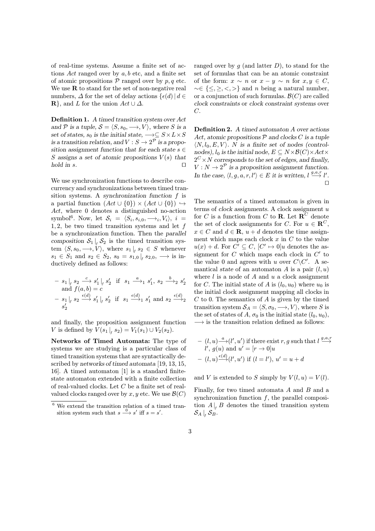of real-time systems. Assume a finite set of actions  $Act$  ranged over by  $a, b$  etc, and a finite set of atomic propositions  $P$  ranged over by  $p, q$  etc. We use  **to stand for the set of non-negative real** numbers,  $\Delta$  for the set of delay actions  $\{\epsilon(d) | d \in$  $\mathbf{R}$ , and L for the union  $Act \cup \Delta$ .

Definition 1. A timed transition system over Act and P is a tuple,  $S = \langle S, s_0, \longrightarrow, V \rangle$ , where S is a set of states,  $s_0$  is the initial state,  $\longrightarrow \subseteq S \times L \times S$ is a transition relation, and  $V : S \to 2^{\mathcal{P}}$  is a proposition assignment function that for each state  $s \in \mathbb{R}$ S assigns a set of atomic propositions  $V(s)$  that hold in s.  $\Box$ 

We use synchronization functions to describe concurrency and synchronizations between timed transition systems. A synchronization function f is a partial function  $(Act \cup \{0\}) \times (Act \cup \{0\}) \hookrightarrow$ Act, where 0 denotes a distinguished no-action symbol<sup>6</sup>. Now, let  $S_i = \langle S_i, s_{i,0}, \longrightarrow_i, V_i \rangle$ ,  $i =$ 1, 2, be two timed transition systems and let f be a synchronization function. Then the parallel composition  $S_1 \big|_f S_2$  is the timed transition system  $\langle S, s_0, \longrightarrow, V \rangle$ , where  $s_1 |_{f} s_2 \in S$  whenever  $s_1 \in S_1 \text{ and } s_2 \in S_2, s_0 = s_{1,0} \big|_f s_{2,0}, \longrightarrow \text{ is in-}$ ductively defined as follows:

$$
- s_1 |_{f} s_2 \xrightarrow{c} s'_1 |_{f} s'_2 \text{ if } s_1 \xrightarrow{a} s'_1, s_2 \xrightarrow{b} s'_2
$$
  
and  $f(a, b) = c$   

$$
- s_1 |_{f} s_2 \xrightarrow{\epsilon(d)} s'_1 |_{f} s'_2 \text{ if } s_1 \xrightarrow{\epsilon(d)} s'_1 \text{ and } s_2 \xrightarrow{\epsilon(d)} s'_2
$$

and finally, the proposition assignment function V is defined by  $V(s_1 | \, s_2) = V_1(s_1) \cup V_2(s_2)$ .

Networks of Timed Automata: The type of systems we are studying is a particular class of timed transition systems that are syntactically described by networks of timed automata [19, 13, 15, 16]. A timed automaton [1] is a standard finitestate automaton extended with a finite collection of real-valued clocks. Let C be a finite set of realvalued clocks ranged over by x, y etc. We use  $\mathcal{B}(C)$ 

ranged over by  $g$  (and latter  $D$ ), to stand for the set of formulas that can be an atomic constraint of the form:  $x \sim n$  or  $x - y \sim n$  for  $x, y \in C$ ,  $~\sim \in \{\leq, \geq, \leq, \geq\}$  and n being a natural number, or a conjunction of such formulas.  $\mathcal{B}(C)$  are called clock constraints or clock constraint systems over  $C$ .

Definition 2. A timed automaton A over actions Act, atomic propositions  $P$  and clocks  $C$  is a tuple  $\langle N, l_0, E, V \rangle$ . N is a finite set of nodes (controlnodes),  $l_0$  is the initial node,  $E \subseteq N \times \mathcal{B}(C) \times Act \times$  $2^C \times N$  corresponds to the set of edges, and finally,  $V: N \to 2^{\mathcal{P}}$  is a proposition assignment function. In the case,  $\langle l, g, a, r, l' \rangle \in E$  it is written,  $l \stackrel{g, a, r}{\longrightarrow} l'.$  $\Box$ 

The semantics of a timed automaton is given in terms of clock assignments. A clock assignment  $u$ for C is a function from C to R. Let  $\mathbb{R}^C$  denote the set of clock assignments for C. For  $u \in \mathbb{R}^C$ ,  $x \in C$  and  $d \in \mathbf{R}$ ,  $u + d$  denotes the time assignment which maps each clock  $x$  in  $C$  to the value  $u(x) + d$ . For  $C' \subseteq C$ ,  $[C' \mapsto 0]u$  denotes the assignment for  $C$  which maps each clock in  $C'$  to the value 0 and agrees with u over  $C\backslash C'$ . A semantical state of an automaton A is a pair  $(l, u)$ where  $l$  is a node of  $A$  and  $u$  a clock assignment for C. The initial state of A is  $(l_0, u_0)$  where  $u_0$  is the initial clock assignment mapping all clocks in  $C$  to 0. The semantics of  $A$  is given by the timed transition system  $S_A = \langle S, \sigma_0, \longrightarrow, V \rangle$ , where S is the set of states of A,  $\sigma_0$  is the initial state  $(l_0, u_0)$ ,  $\rightarrow$  is the transition relation defined as follows:

$$
- (l, u) \xrightarrow{a} (l', u') \text{ if there exist } r, g \text{ such that } l \xrightarrow{g, a, r} l', g(u) \text{ and } u' = [r \to 0]u
$$

$$
- (l, u) \xrightarrow{\epsilon(d)} (l', u') \text{ if } (l = l'), u' = u + d
$$

and V is extended to S simply by  $V(l, u) = V(l)$ .

Finally, for two timed automata A and B and a synchronization function  $f$ , the parallel composition  $A|_f B$  denotes the timed transition system  $\mathcal{S}_A \left|_{_{f}} \mathcal{S}_B. \right.$ 

 $^6$  We extend the transition relation of a timed transition system such that  $s \xrightarrow{0} s'$  iff  $s = s'$ .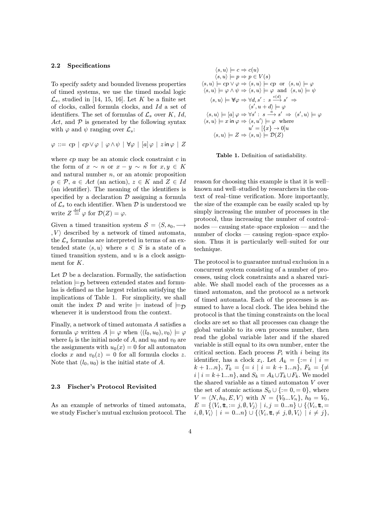#### 2.2 Specifications

To specify safety and bounded liveness properties of timed systems, we use the timed modal logic  $\mathcal{L}_s$ , studied in [14, 15, 16]. Let K be a finite set of clocks, called formula clocks, and Id a set of identifiers. The set of formulas of  $\mathcal{L}_s$  over K, Id, Act, and  $P$  is generated by the following syntax with  $\varphi$  and  $\psi$  ranging over  $\mathcal{L}_s$ :

$$
\varphi ::= cp \mid cp \vee \varphi \mid \varphi \wedge \psi \mid \forall \varphi \mid [a] \varphi \mid z \mathsf{in} \varphi \mid Z
$$

where  $cp$  may be an atomic clock constraint  $c$  in the form of  $x \sim n$  or  $x - y \sim n$  for  $x, y \in K$ and natural number  $n$ , or an atomic proposition  $p \in \mathcal{P}, a \in Act$  (an action),  $z \in K$  and  $Z \in Id$ (an identifier). The meaning of the identifiers is specified by a declaration  $D$  assigning a formula of  $\mathcal{L}_s$  to each identifier. When  $\mathcal D$  is understood we write  $Z \stackrel{\text{def}}{=} \varphi$  for  $\mathcal{D}(Z) = \varphi$ .

Given a timed transition system  $S = \langle S, s_0, \longrightarrow \rangle$  $, V$  described by a network of timed automata, the  $\mathcal{L}_s$  formulas are interpreted in terms of an extended state  $\langle s, u \rangle$  where  $s \in S$  is a state of a timed transition system, and  $u$  is a clock assignment for K.

Let  $\mathcal D$  be a declaration. Formally, the satisfaction relation  $\models_{\mathcal{D}}$  between extended states and formulas is defined as the largest relation satisfying the implications of Table 1. For simplicity, we shall omit the index D and write  $\models$  instead of  $\models_{\mathcal{D}}$ whenever it is understood from the context.

Finally, a network of timed automata A satisfies a formula  $\varphi$  written  $A \models \varphi$  when  $\langle (l_0, u_0), v_0 \rangle \models \varphi$ where  $l_0$  is the initial node of A, and  $u_0$  and  $v_0$  are the assignments with  $u_0(x) = 0$  for all automaton clocks x and  $v_0(z) = 0$  for all formula clocks z. Note that  $(l_0, u_0)$  is the initial state of A.

#### 2.3 Fischer's Protocol Revisited

As an example of networks of timed automata, we study Fischer's mutual exclusion protocol. The

$$
\langle s, u \rangle \models c \Rightarrow c(u)
$$
  
\n
$$
\langle s, u \rangle \models p \Rightarrow p \in V(s)
$$
  
\n
$$
\langle s, u \rangle \models cp \vee \varphi \Rightarrow \langle s, u \rangle \models cp \text{ or } \langle s, u \rangle \models \varphi
$$
  
\n
$$
\langle s, u \rangle \models \varphi \wedge \psi \Rightarrow \langle s, u \rangle \models \varphi \text{ and } \langle s, u \rangle \models \psi
$$
  
\n
$$
\langle s, u \rangle \models \mathbb{W}\varphi \Rightarrow \forall d, s': s \xrightarrow{\epsilon(d)} s' \Rightarrow
$$
  
\n
$$
\langle s', u + d \rangle \models \varphi
$$
  
\n
$$
\langle s, u \rangle \models [a] \varphi \Rightarrow \forall s': s \xrightarrow{a} s' \Rightarrow \langle s', u \rangle \models \varphi
$$
  
\n
$$
\langle s, u \rangle \models x \text{ in } \varphi \Rightarrow \langle s, u' \rangle \models \varphi \text{ where}
$$
  
\n
$$
u' = [\{x\} \rightarrow 0]u
$$
  
\n
$$
\langle s, u \rangle \models Z \Rightarrow \langle s, u \rangle \models \mathcal{D}(Z)
$$

Table 1. Definition of satisfiability.

reason for choosing this example is that it is well– known and well–studied by researchers in the context of real–time verification. More importantly, the size of the example can be easily scaled up by simply increasing the number of processes in the protocol, thus increasing the number of control– nodes — causing state–space explosion — and the number of clocks — causing region–space explosion. Thus it is particularly well–suited for our technique.

The protocol is to guarantee mutual exclusion in a concurrent system consisting of a number of processes, using clock constraints and a shared variable. We shall model each of the processes as a timed automaton, and the protocol as a network of timed automata. Each of the processes is assumed to have a local clock. The idea behind the protocol is that the timing constraints on the local clocks are set so that all processes can change the global variable to its own process number, then read the global variable later and if the shared variable is still equal to its own number, enter the critical section. Each process  $P_i$  with i being its identifier, has a clock  $x_i$ . Let  $A_k = \{ := i \mid i =$  $k+1...n$ ,  $T_k = \{ = i \mid i = k+1...n \}, F_k = \{ \neq$  $i | i = k+1...n$ , and  $S_k = A_k \cup T_k \cup F_k$ . We model the shared variable as a timed automaton  $V$  over the set of atomic actions  $S_0 \cup \{:=0,=0\}$ , where  $V = \langle N, h_0, E, V \rangle$  with  $N = \{V_0...V_n\}, h_0 = V_0$ ,  $E = \{ \langle V_i, \mathbf{t} \rangle := j, \emptyset, V_j \rangle \mid i, j = 0...n \} \cup \{ \langle V_i, \mathbf{t} \rangle =$  $i, \emptyset, V_i \mid i = 0...n \} \cup \{ \langle V_i, \mathbf{t}, \neq j, \emptyset, V_i \rangle \mid i \neq j \},\$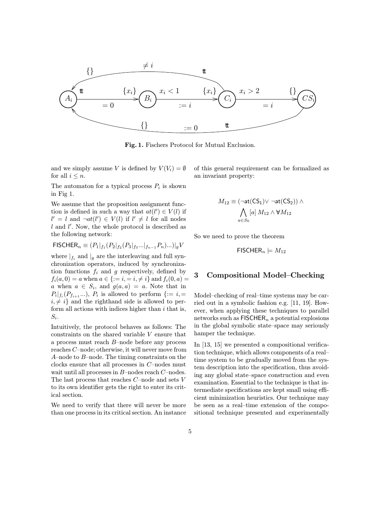

Fig. 1. Fischers Protocol for Mutual Exclusion.

and we simply assume V is defined by  $V(V_i) = \emptyset$ for all  $i \leq n$ .

The automaton for a typical process  $P_i$  is shown in Fig 1.

We assume that the proposition assignment function is defined in such a way that  $at(l') \in V(l)$  if  $l' = l$  and  $\neg at(l') \in V(l)$  if  $l' \neq l$  for all nodes  $l$  and  $l'$ . Now, the whole protocol is described as the following network:

$$
\mathsf{FISCHER}_n \equiv (P_1|_{f_1}(P_2|_{f_2}(P_3|_{f_3}...|_{f_{n-1}}P_n)...)|_gV
$$

where  $|f_i|$  and  $|g|$  are the interleaving and full synchronization operators, induced by synchronization functions  $f_i$  and g respectively, defined by  $f_i(a, 0) = a$  when  $a \in \{:= i, i \neq i\}$  and  $f_i(0, a) =$ a when  $a \in S_i$ , and  $g(a, a) = a$ . Note that in  $P_i|_{f_i}(P_{f_{i+1}}...), P_i$  is allowed to perform  $\{:= i, =\}$  $i, \neq i$  and the righthand side is allowed to perform all actions with indices higher than  $i$  that is,  $S_i$ .

Intuitively, the protocol behaves as follows: The constraints on the shared variable V ensure that a process must reach B–node before any process reaches C–node; otherwise, it will never move from A–node to B–node. The timing constraints on the clocks ensure that all processes in C–nodes must wait until all processes in B–nodes reach C–nodes. The last process that reaches  $C$ –node and sets  $V$ to its own identifier gets the right to enter its critical section.

We need to verify that there will never be more than one process in its critical section. An instance of this general requirement can be formalized as an invariant property:

$$
M_{12} \equiv (\neg \mathsf{at}(\mathsf{CS}_1) \vee \neg \mathsf{at}(\mathsf{CS}_2)) \wedge \\ \bigwedge_{a \in S_0} [a] \, M_{12} \wedge \mathbb{W} M_{12}
$$

So we need to prove the theorem

 $\mathsf{FISCHER}_n \models M_{12}$ 

#### 3 Compositional Model–Checking

Model–checking of real–time systems may be carried out in a symbolic fashion e.g. [11, 19]. However, when applying these techniques to parallel networks such as  $FISCHER_n$  a potential explosions in the global symbolic state–space may seriously hamper the technique.

In [13, 15] we presented a compositional verification technique, which allows components of a real– time system to be gradually moved from the system description into the specification, thus avoiding any global state–space construction and even examination. Essential to the technique is that intermediate specifications are kept small using efficient minimization heuristics. Our technique may be seen as a real–time extension of the compositional technique presented and experimentally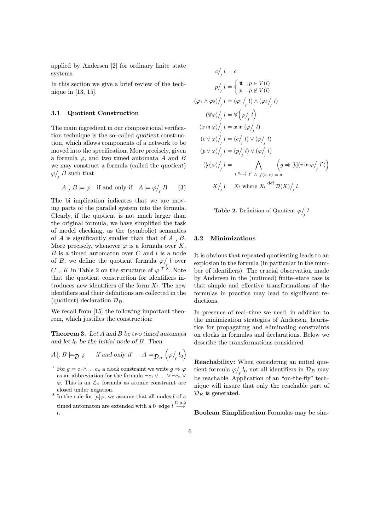applied by Andersen [2] for ordinary finite–state systems.

In this section we give a brief review of the technique in [13, 15].

#### 3.1 Quotient Construction

The main ingredient in our compositional verification technique is the so–called quotient construction, which allows components of a network to be moved into the specification. More precisely, given a formula  $\varphi$ , and two timed automata A and B we may construct a formula (called the quotient)  $\varphi /_{f} B$  such that

$$
A\big|_f B \models \varphi \quad \text{if and only if} \quad A \models \varphi /_f B \qquad (3)
$$

The bi–implication indicates that we are moving parts of the parallel system into the formula. Clearly, if the quotient is not much larger than the original formula, we have simplified the task of model–checking, as the (symbolic) semantics of A is significantly smaller than that of  $A|_f B$ . More precisely, whenever  $\varphi$  is a formula over K,  $B$  is a timed automaton over  $C$  and  $l$  is a node of B, we define the quotient formula  $\varphi / l$  over  $C \cup K$  in Table 2 on the structure of  $\varphi$ <sup>7</sup><sup>8</sup>. Note that the quotient construction for identifiers introduces new identifiers of the form  $X_l$ . The new identifiers and their definitions are collected in the (quotient) declaration  $\mathcal{D}_B$ .

We recall from [15] the following important theorem, which justifies the construction:

Theorem 3. Let A and B be two timed automata and let  $l_0$  be the initial node of B. Then

$$
A\big|_f B \models_{\mathcal{D}} \varphi \quad \text{if and only if} \quad A \models_{\mathcal{D}_B} \left( \varphi /_{f} l_0 \right)
$$

- <sup>7</sup> For  $g = c_1 \wedge \ldots c_n$  a clock constraint we write  $g \Rightarrow \varphi$ as an abbreviation for the formula  $\neg c_1 \vee \ldots \vee \neg c_n \vee$  $\varphi$ . This is an  $\mathcal{L}_s$ -formula as atomic constraint are closed under negation.
- <sup>8</sup> In the rule for  $[a]\varphi$ , we assume that all nodes l of a timed automaton are extended with a 0–edge  $l \stackrel{\text{t\!t},0,\emptyset}{\longrightarrow}$ l.

$$
c/_{f} l = c
$$
\n
$$
p/_{f} l = \begin{cases} \mathbf{t} & \text{if } p \in V(l) \\ p & \text{if } p \notin V(l) \end{cases}
$$
\n
$$
(\varphi_{1} \wedge \varphi_{2})/_{f} l = (\varphi_{1}/_{f} l) \wedge (\varphi_{2}/_{f} l)
$$
\n
$$
(\forall \varphi) /_{f} l = \forall (\varphi /_{f} l)
$$
\n
$$
(x \text{ in } \varphi) /_{f} l = x \text{ in } (\varphi /_{f} l)
$$
\n
$$
(c \vee \varphi) /_{f} l = (c/_{f} l) \vee (\varphi /_{f} l)
$$
\n
$$
(p \vee \varphi) /_{f} l = (p/_{f} l) \vee (\varphi /_{f} l)
$$
\n
$$
([a] \varphi) /_{f} l = \bigwedge_{l \xrightarrow{g,c,r} l'} \bigg( g \Rightarrow [b] (r \text{ in } \varphi /_{f} l') \bigg)
$$
\n
$$
l \xrightarrow{g,c,r} l' \wedge f(b,c) = a
$$
\n
$$
X/_{f} l = X_{l} \text{ where } X_{l} \stackrel{\text{def}}{=} \mathcal{D}(X) /_{f} l
$$

**Table 2.** Definition of Quotient  $\varphi$ <sup>*l*</sup><sub>f</sub></sub> *l* 

#### 3.2 Minimizations

It is obvious that repeated quotienting leads to an explosion in the formula (in particular in the number of identifiers). The crucial observation made by Andersen in the (untimed) finite–state case is that simple and effective transformations of the formulas in practice may lead to significant reductions.

In presence of real–time we need, in addition to the minimization strategies of Andersen, heuristics for propagating and eliminating constraints on clocks in formulas and declarations. Below we describe the transformations considered:

Reachability: When considering an initial quotient formula  $\varphi /_{f} l_0$  not all identifiers in  $\mathcal{D}_B$  may be reachable. Application of an "on-the-fly" technique will insure that only the reachable part of  $\mathcal{D}_B$  is generated.

Boolean Simplification Formulas may be sim-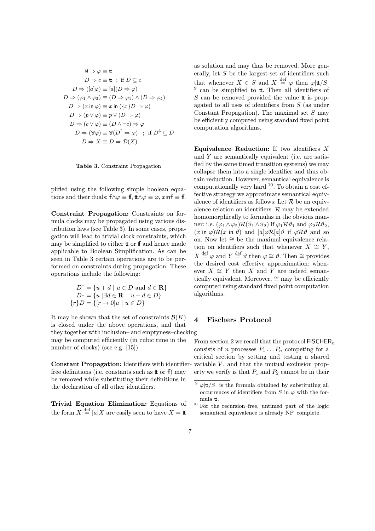$$
\emptyset \Rightarrow \varphi \equiv \mathbf{t}
$$
  
\n
$$
D \Rightarrow c \equiv \mathbf{t} \quad \text{if } D \subseteq c
$$
  
\n
$$
D \Rightarrow ([a]\varphi) \equiv [a](D \Rightarrow \varphi)
$$
  
\n
$$
D \Rightarrow (\varphi_1 \land \varphi_2) \equiv (D \Rightarrow \varphi_1) \land (D \Rightarrow \varphi_2)
$$
  
\n
$$
D \Rightarrow (x \text{ in } \varphi) \equiv x \text{ in } (\{x\}D \Rightarrow \varphi)
$$
  
\n
$$
D \Rightarrow (p \lor \varphi) \equiv p \lor (D \Rightarrow \varphi)
$$
  
\n
$$
D \Rightarrow (c \lor \varphi) \equiv (D \land \neg c) \Rightarrow \varphi
$$
  
\n
$$
D \Rightarrow (\forall \varphi) \equiv \forall (D^{\uparrow} \Rightarrow \varphi) \quad \text{if } D^{\downarrow} \subseteq D
$$
  
\n
$$
D \Rightarrow X \equiv D \Rightarrow \mathcal{D}(X)
$$

Table 3. Constraint Propagation

plified using the following simple boolean equations and their duals:  $f \wedge \varphi \equiv f \uparrow, \forall x \varphi \equiv \varphi, x \in f \equiv f \uparrow.$ 

Constraint Propagation: Constraints on formula clocks may be propagated using various distribution laws (see Table 3). In some cases, propagation will lead to trivial clock constraints, which may be simplified to either  $t$  or  $f$  and hence made applicable to Boolean Simplification. As can be seen in Table 3 certain operations are to be performed on constraints during propagation. These operations include the following:

$$
D^{\uparrow} = \{u + d \mid u \in D \text{ and } d \in \mathbf{R}\}
$$
  

$$
D^{\downarrow} = \{u \mid \exists d \in \mathbf{R} : u + d \in D\}
$$
  

$$
\{r\}D = \{[r \mapsto 0]u \mid u \in D\}
$$

It may be shown that the set of constraints  $\mathcal{B}(K)$ is closed under the above operations, and that they together with inclusion– and emptyness–checking may be computed efficiently (in cubic time in the number of clocks) (see e.g. [15]).

Constant Propagation: Identifiers with identifierfree definitions (i.e. constants such as  $t \in \mathbb{F}$ ) may be removed while substituting their definitions in the declaration of all other identifiers.

Trivial Equation Elimination: Equations of the form  $X \stackrel{\text{def}}{=} [a]X$  are easily seen to have  $X = \mathbf{t}$ 

as solution and may thus be removed. More generally, let  $S$  be the largest set of identifiers such that whenever  $X \in S$  and  $X \stackrel{\text{def}}{=} \varphi$  then  $\varphi[\text{tt}/S]$  $9$  can be simplified to  $t$ . Then all identifiers of  $S$  can be removed provided the value  $t$  is propagated to all uses of identifiers from S (as under Constant Propagation). The maximal set  $S$  may be efficiently computed using standard fixed point computation algorithms.

Equivalence Reduction: If two identifiers  $X$ and Y are semantically equivalent (i.e. are satisfied by the same timed transition systems) we may collapse them into a single identifier and thus obtain reduction. However, semantical equivalence is computationally very hard  $10$ . To obtain a cost effective strategy we approximate semantical equivalence of identifiers as follows: Let  $R$  be an equivalence relation on identifiers.  $R$  may be extended homomorphically to formulas in the obvious manner: i.e.  $(\varphi_1 \wedge \varphi_2) \mathcal{R}(\vartheta_1 \wedge \vartheta_2)$  if  $\varphi_1 \mathcal{R} \vartheta_1$  and  $\varphi_2 \mathcal{R} \vartheta_2$ ,  $(x \text{ in } \varphi) \mathcal{R}(x \text{ in } \vartheta)$  and  $[a] \varphi \mathcal{R}[a] \vartheta$  if  $\varphi \mathcal{R} \vartheta$  and so on. Now let ∼= be the maximal equivalence relation on identifiers such that whenever  $X \cong Y$ ,  $X \stackrel{\text{def}}{=} \varphi$  and  $Y \stackrel{\text{def}}{=} \vartheta$  then  $\varphi \cong \vartheta$ . Then  $\cong$  provides the desired cost effective approximation: whenever  $X \cong Y$  then X and Y are indeed semantically equivalent. Moreover,  $\cong$  may be efficiently computed using standard fixed point computation algorithms.

#### 4 Fischers Protocol

From section 2 we recall that the protocol  $FISCHER_n$ consists of n processes  $P_1 \ldots P_n$  competing for a critical section by setting and testing a shared variable  $V$ , and that the mutual exclusion property we verify is that  $P_1$  and  $P_2$  cannot be in their

 $9 \varphi[\text{tt}/S]$  is the formula obtained by substituting all occurrences of identifiers from S in  $\varphi$  with the formula tt.

 $^{10}$  For the recursion–free, untimed part of the logic semantical equivalence is already NP–complete.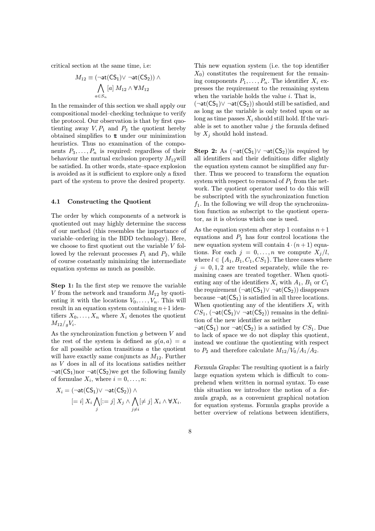critical section at the same time, i.e:

$$
M_{12}\equiv (\neg \texttt{at}(\texttt{CS}_1) \vee \neg \texttt{at}(\texttt{CS}_2)) \wedge \\\bigwedge_{a \in S_n} [a] \ M_{12} \wedge \mathbb{W} M_{12}
$$

In the remainder of this section we shall apply our compositional model–checking technique to verify the protocol. Our observation is that by first quotienting away  $V, P_1$  and  $P_2$  the quotient hereby obtained simplifies to tt under our minimization heuristics. Thus no examination of the components  $P_3, \ldots, P_n$  is required: regardless of their behaviour the mutual exclusion property  $M_{12}$  will be satisfied. In other words, state–space explosion is avoided as it is sufficient to explore only a fixed part of the system to prove the desired property.

#### 4.1 Constructing the Quotient

The order by which components of a network is quotiented out may highly determine the success of our method (this resembles the importance of variable–ordering in the BDD technology). Here, we choose to first quotient out the variable V followed by the relevant processes  $P_1$  and  $P_2$ , while of course constantly minimizing the intermediate equation systems as much as possible.

Step 1: In the first step we remove the variable V from the network and transform  $M_{12}$  by quotienting it with the locations  $V_0, \ldots, V_n$ . This will result in an equation system containing  $n+1$  identifiers  $X_0, \ldots, X_n$  where  $X_i$  denotes the quotient  $M_{12}/\frac{q}{q}V_i$ .

As the synchronization function  $q$  between  $V$  and the rest of the system is defined as  $g(a, a) = a$ for all possible action transitions  $\alpha$  the quotient will have exactly same conjuncts as  $M_{12}$ . Further as V does in all of its locations satisfies neither  $\neg$ at(CS<sub>1</sub>)nor  $\neg$ at(CS<sub>2</sub>)we get the following family of formulae  $X_i$ , where  $i = 0, \ldots, n$ :

$$
X_i = (\neg \mathsf{at}(\mathsf{CS}_1) \vee \neg \mathsf{at}(\mathsf{CS}_2)) \wedge \left[ = i \right] X_i \bigwedge_{j} [ := j \right] X_j \wedge \bigwedge_{j \neq i} [\neq j] X_i \wedge \mathbb{W} X_i.
$$

This new equation system (i.e. the top identifier  $X_0$ ) constitutes the requirement for the remaining components  $P_1, \ldots, P_n$ . The identifier  $X_i$  expresses the requirement to the remaining system when the variable holds the value  $i$ . That is,  $(\neg \text{at}(CS_1) \lor \neg \text{at}(CS_2))$  should still be satisfied, and

as long as the variable is only tested upon or as long as time passes  $X_i$  should still hold. If the variable is set to another value  $j$  the formula defined by  $X_j$  should hold instead.

Step 2: As  $(\neg \text{at}(CS_1) \lor \neg \text{at}(CS_2))$  is required by all identifiers and their definitions differ slightly the equation system cannot be simplified any further. Thus we proceed to transform the equation system with respect to removal of  $P_1$  from the network. The quotient operator used to do this will be subscripted with the synchronization function  $f_1$ . In the following we will drop the synchronization function as subscript to the quotient operator, as it is obvious which one is used.

As the equation system after step 1 contains  $n+1$ equations and  $P_1$  has four control locations the new equation system will contain  $4 \cdot (n+1)$  equations. For each  $j = 0, \ldots, n$  we compute  $X_i/l$ , where  $l \in \{A_1, B_1, C_1, CS_1\}$ . The three cases where  $j = 0, 1, 2$  are treated separately, while the remaining cases are treated together. When quotienting any of the identifiers  $X_i$  with  $A_1$ ,  $B_1$  or  $C_1$ the requirement  $(\neg \text{at}(CS_1) \lor \neg \text{at}(CS_2))$  disappears because  $\neg$ **at**( $CS_1$ ) is satisfied in all three locations. When quotienting any of the identifiers  $X_i$  with  $CS_1$ , (¬at( $CS_1$ )∨ ¬at( $CS_2$ )) remains in the definition of the new identifier as neither

 $\neg$ at(CS<sub>1</sub>) nor  $\neg$ at(CS<sub>2</sub>) is a satisfied by CS<sub>1</sub>. Due to lack of space we do not display this quotient, instead we continue the quotienting with respect to  $P_2$  and therefore calculate  $M_{12}/V_0/A_1/A_2$ .

Formula Graphs: The resulting quotient is a fairly large equation system which is difficult to comprehend when written in normal syntax. To ease this situation we introduce the notion of a formula graph, as a convenient graphical notation for equation systems. Formula graphs provide a better overview of relations between identifiers,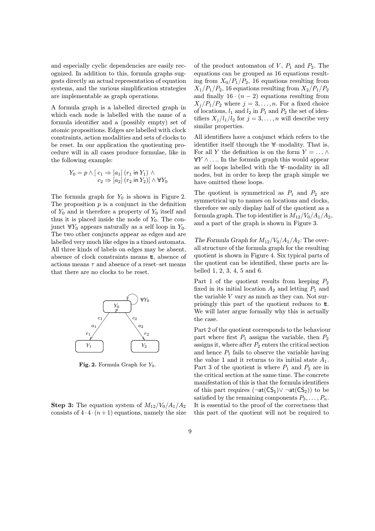and especially cyclic dependencies are easily recognized. In addition to this, formula graphs suggests directly an actual representation of equation systems, and the various simplification strategies are implementable as graph operations.

A formula graph is a labelled directed graph in which each node is labelled with the name of a formula identifier and a (possibly empty) set of atomic propositions. Edges are labelled with clock constraints, action modalities and sets of clocks to be reset. In our application the quotienting procedure will in all cases produce formulae, like in the following example:

$$
Y_0 = p \land [c_1 \Rightarrow [a_1] (r_1 \text{ in } Y_1) \land c_2 \Rightarrow [a_2] (r_2 \text{ in } Y_2)] \land \forall Y_0
$$

The formula graph for  $Y_0$  is shown in Figure 2. The proposition  $p$  is a conjunct in the definition of  $Y_0$  and is therefore a property of  $Y_0$  itself and thus it is placed inside the node of  $Y_0$ . The conjunct  $\mathbb{W} Y_0$  appears naturally as a self loop in  $Y_0$ . The two other conjuncts appear as edges and are labelled very much like edges in a timed automata. All three kinds of labels on edges may be absent, absence of clock constraints means tt, absence of actions means  $\tau$  and absence of a reset–set means that there are no clocks to be reset.



Fig. 2. Formula Graph for  $Y_0$ .

**Step 3:** The equation system of  $M_{12}/V_0/A_1/A_2$ consists of  $4 \cdot 4 \cdot (n+1)$  equations, namely the size of the product automaton of  $V, P_1$  and  $P_2$ . The equations can be grouped as 16 equations resulting from  $X_0/P_1/P_2$ , 16 equations resulting from  $X_1/P_1/P_2$ , 16 equations resulting from  $X_2/P_1/P_2$ and finally  $16 \cdot (n-2)$  equations resulting from  $X_i/P_1/P_2$  where  $j = 3, \ldots, n$ . For a fixed choice of locations,  $l_1$  and  $l_2$  in  $P_1$  and  $P_2$  the set of identifiers  $X_j/l_1/l_2$  for  $j = 3, ..., n$  will describe very similar properties.

All identifiers have a conjunct which refers to the identifier itself through the ∀∀–modality. That is, For all Y the definition is on the form  $Y = \ldots \wedge$  $\forall Y \wedge \ldots$  In the formula graph this would appear as self loops labelled with the ∀∀–modality in all nodes, but in order to keep the graph simple we have omitted these loops.

The quotient is symmetrical as  $P_1$  and  $P_2$  are symmetrical up to names on locations and clocks, therefore we only display half of the quotient as a formula graph. The top identifier is  $M_{12}/V_0/A_1/A_2$ , and a part of the graph is shown in Figure 3.

The Formula Graph for  $M_{12}/V_0/A_1/A_2$ : The overall structure of the formula graph for the resulting quotient is shown in Figure 4. Six typical parts of the quotient can be identified, these parts are labelled 1, 2, 3, 4, 5 and 6.

Part 1 of the quotient results from keeping  $P_2$ fixed in its initial location  $A_2$  and letting  $P_1$  and the variable  $V$  vary as much as they can. Not surprisingly this part of the quotient reduces to  $\mathbf t$ . We will later argue formally why this is actually the case.

Part 2 of the quotient corresponds to the behaviour part where first  $P_1$  assigns the variable, then  $P_2$ assigns it, where after  $P_2$  enters the critical section and hence  $P_1$  fails to observe the variable having the value 1 and it returns to its initial state  $A_1$ . Part 3 of the quotient is where  $P_1$  and  $P_2$  are in the critical section at the same time. The concrete manifestation of this is that the formula identifiers of this part requires  $(\neg \text{at}(CS_1) \lor \neg \text{at}(CS_2))$  to be satisfied by the remaining components  $P_3, \ldots, P_n$ . It is essential to the proof of the correctness that this part of the quotient will not be required to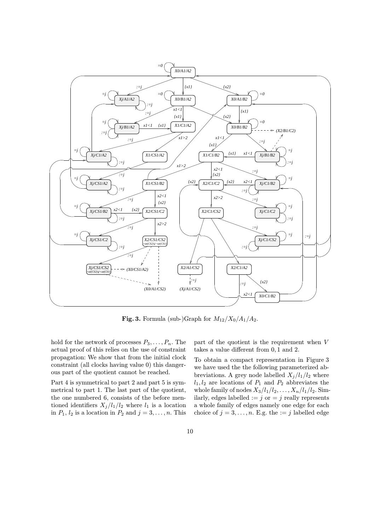

Fig. 3. Formula (sub-)Graph for  $M_{12}/X_0/A_1/A_2$ .

hold for the network of processes  $P_3, \ldots, P_n$ . The actual proof of this relies on the use of constraint propagation: We show that from the initial clock constraint (all clocks having value 0) this dangerous part of the quotient cannot be reached.

Part 4 is symmetrical to part 2 and part 5 is symmetrical to part 1. The last part of the quotient, the one numbered 6, consists of the before mentioned identifiers  $X_j/l_1/l_2$  where  $l_1$  is a location in  $P_1$ ,  $l_2$  is a location in  $P_2$  and  $j = 3, \ldots, n$ . This part of the quotient is the requirement when V takes a value different from 0, 1 and 2.

To obtain a compact representation in Figure 3 we have used the the following parameterized abbreviations. A grey node labelled  $X_j/l_1/l_2$  where  $l_1, l_2$  are locations of  $P_1$  and  $P_2$  abbreviates the whole family of nodes  $X_3/l_1/l_2,\ldots,X_n/l_1/l_2$ . Similarly, edges labelled  $:= j$  or  $= j$  really represents a whole family of edges namely one edge for each choice of  $j = 3, \ldots, n$ . E.g. the  $:= j$  labelled edge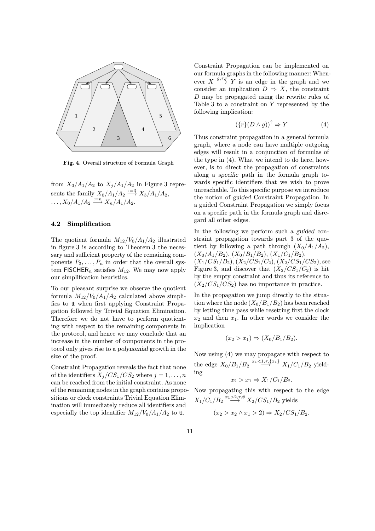

Fig. 4. Overall structure of Formula Graph

from  $X_0/A_1/A_2$  to  $X_i/A_1/A_2$  in Figure 3 represents the family  $X_0/A_1/A_2 \stackrel{:=}{\longrightarrow} X_3/A_1/A_2$ ,  $\ldots, X_0/A_1/A_2 \stackrel{:=n}{\longrightarrow} X_n/A_1/A_2.$ 

#### 4.2 Simplification

The quotient formula  $M_{12}/V_0/A_1/A_2$  illustrated in figure 3 is according to Theorem 3 the necessary and sufficient property of the remaining components  $P_3, \ldots, P_n$  in order that the overall system FISCHER<sub>n</sub> satisfies  $M_{12}$ . We may now apply our simplification heuristics.

To our pleasant surprise we observe the quotient formula  $M_{12}/V_0/A_1/A_2$  calculated above simplifies to tt when first applying Constraint Propagation followed by Trivial Equation Elimination. Therefore we do not have to perform quotienting with respect to the remaining components in the protocol, and hence we may conclude that an increase in the number of components in the protocol only gives rise to a polynomial growth in the size of the proof.

Constraint Propagation reveals the fact that none of the identifiers  $X_j/CS_1/CS_2$  where  $j = 1, \ldots, n$ can be reached from the initial constraint. As none of the remaining nodes in the graph contains propositions or clock constraints Trivial Equation Elimination will immediately reduce all identifiers and especially the top identifier  $M_{12}/V_0/A_1/A_2$  to tt.

Constraint Propagation can be implemented on our formula graphs in the following manner: Whenever  $X \stackrel{g,\tau,r}{\longrightarrow} Y$  is an edge in the graph and we consider an implication  $D \Rightarrow X$ , the constraint D may be propagated using the rewrite rules of Table 3 to a constraint on Y represented by the following implication:

$$
(\{r\}(D \wedge g))^\uparrow \Rightarrow Y \tag{4}
$$

Thus constraint propagation in a general formula graph, where a node can have multiple outgoing edges will result in a conjunction of formulas of the type in (4). What we intend to do here, however, is to direct the propagation of constraints along a specific path in the formula graph towards specific identifiers that we wish to prove unreachable. To this specific purpose we introduce the notion of guided Constraint Propagation. In a guided Constraint Propagation we simply focus on a specific path in the formula graph and disregard all other edges.

In the following we perform such a guided constraint propagation towards part 3 of the quotient by following a path through  $(X_0/A_1/A_2)$ ,  $(X_0/A_1/B_2), (X_0/B_1/B_2), (X_1/C_1/B_2),$  $(X_1/CS_1/B_2), (X_2/CS_1/C_2), (X_2/CS_1/CS_2)$ , see Figure 3, and discover that  $(X_2/CS_1/C_2)$  is hit by the empty constraint and thus its reference to  $(X_2/CS_1/CS_2)$  has no importance in practice.

In the propagation we jump directly to the situation where the node  $(X_0/B_1/B_2)$  has been reached by letting time pass while resetting first the clock  $x_2$  and then  $x_1$ . In other words we consider the implication

$$
(x_2 > x_1) \Rightarrow (X_0/B_1/B_2).
$$

Now using (4) we may propagate with respect to the edge  $X_0/B_1/B_2 \stackrel{x_1<1,\tau,\{x_1\}}{\longrightarrow} X_1/C_1/B_2$  yielding

$$
x_2 > x_1 \Rightarrow X_1/C_1/B_2.
$$

Now propagating this with respect to the edge  $X_1/C_1/B_2 \stackrel{x_1 > 2, \tau, \emptyset}{\longrightarrow} X_2/CS_1/B_2$  yields

$$
(x_2 > x_2 \land x_1 > 2) \Rightarrow X_2/CS_1/B_2.
$$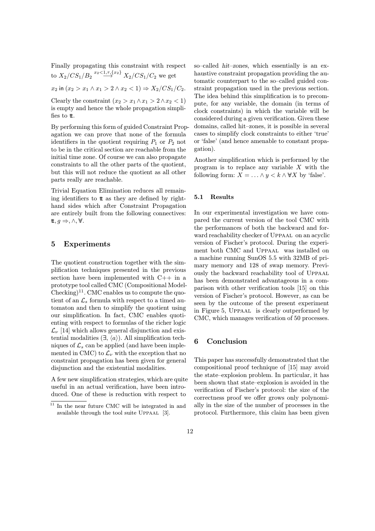Finally propagating this constraint with respect to  $X_2/CS_1/B_2 \stackrel{x_2<1,\tau,\{x_2\}}{\longrightarrow} X_2/CS_1/C_2$  we get

 $x_2$  in  $(x_2 > x_1 \land x_1 > 2 \land x_2 < 1) \Rightarrow X_2/CS_1/C_2$ .

Clearly the constraint  $(x_2 > x_1 \land x_1 > 2 \land x_2 < 1)$ is empty and hence the whole propagation simplifies to  $t$ .

By performing this form of guided Constraint Propagation we can prove that none of the formula identifiers in the quotient requiring  $P_1$  or  $P_2$  not to be in the critical section are reachable from the initial time zone. Of course we can also propagate constraints to all the other parts of the quotient, but this will not reduce the quotient as all other parts really are reachable.

Trivial Equation Elimination reduces all remaining identifiers to  $t$  as they are defined by righthand sides which after Constraint Propagation are entirely built from the following connectives:  $t, g \Rightarrow, \wedge, \forall.$ 

#### 5 Experiments

The quotient construction together with the simplification techniques presented in the previous section have been implemented with C++ in a prototype tool called CMC (Compositional Model- $\text{Checking})^{11}$ . CMC enables us to compute the quotient of an  $\mathcal{L}_s$  formula with respect to a timed automaton and then to simplify the quotient using our simplification. In fact, CMC enables quotienting with respect to formulas of the richer logic  $\mathcal{L}_{\nu}$  [14] which allows general disjunction and existential modalities  $(\exists, \langle a \rangle)$ . All simplification techniques of  $\mathcal{L}_s$  can be applied (and have been implemented in CMC) to  $\mathcal{L}_{\nu}$  with the exception that no constraint propagation has been given for general disjunction and the existential modalities.

A few new simplification strategies, which are quite useful in an actual verification, have been introduced. One of these is reduction with respect to

so–called hit–zones, which essentially is an exhaustive constraint propagation providing the automatic counterpart to the so–called guided constraint propagation used in the previous section. The idea behind this simplification is to precompute, for any variable, the domain (in terms of clock constraints) in which the variable will be considered during a given verification. Given these domains, called hit–zones, it is possible in several cases to simplify clock constraints to either 'true' or 'false' (and hence amenable to constant propagation).

Another simplification which is performed by the program is to replace any variable  $X$  with the following form:  $X = \ldots \wedge y < k \wedge \forall X$  by 'false'.

#### 5.1 Results

In our experimental investigation we have compared the current version of the tool CMC with the performances of both the backward and forward reachability checker of Uppaal on an acyclic version of Fischer's protocol. During the experiment both CMC and Uppaal was installed on a machine running SunOS 5.5 with 32MB of primary memory and 128 of swap memory. Previously the backward reachability tool of Uppaal has been demonstrated advantageous in a comparison with other verification tools [15] on this version of Fischer's protocol. However, as can be seen by the outcome of the present experiment in Figure 5, Uppaal is clearly outperformed by CMC, which manages verification of 50 processes.

#### 6 Conclusion

This paper has successfully demonstrated that the compositional proof technique of [15] may avoid the state–explosion problem. In particular, it has been shown that state–explosion is avoided in the verification of Fischer's protocol: the size of the correctness proof we offer grows only polynomially in the size of the number of processes in the protocol. Furthermore, this claim has been given

 $\overline{11}$  In the near future CMC will be integrated in and available through the tool suite Uppaal [3].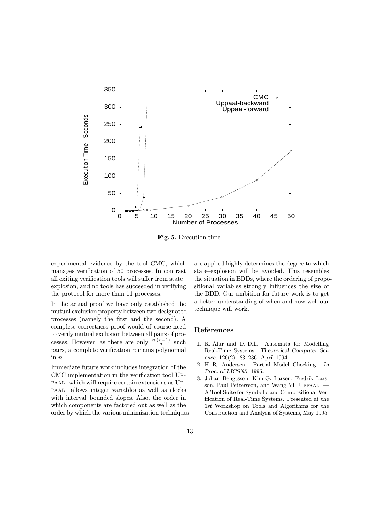

Fig. 5. Execution time

experimental evidence by the tool CMC, which manages verification of 50 processes. In contrast all exiting verification tools will suffer from state– explosion, and no tools has succeeded in verifying the protocol for more than 11 processes.

In the actual proof we have only established the mutual exclusion property between two designated processes (namely the first and the second). A complete correctness proof would of course need to verify mutual exclusion between all pairs of processes. However, as there are only  $\frac{n \cdot (n-1)}{2}$  such pairs, a complete verification remains polynomial in n.

Immediate future work includes integration of the CMC implementation in the verification tool Uppaal which will require certain extensions as Uppaal allows integer variables as well as clocks with interval–bounded slopes. Also, the order in which components are factored out as well as the order by which the various minimization techniques are applied highly determines the degree to which state–explosion will be avoided. This resembles the situation in BDDs, where the ordering of propositional variables strongly influences the size of the BDD. Our ambition for future work is to get a better understanding of when and how well our technique will work.

#### References

- 1. R. Alur and D. Dill. Automata for Modelling Real-Time Systems. Theoretical Computer Science, 126(2):183–236, April 1994.
- 2. H. R. Andersen. Partial Model Checking. In Proc. of LICS'95, 1995.
- 3. Johan Bengtsson, Kim G. Larsen, Fredrik Larsson, Paul Pettersson, and Wang Yi. Uppaal — A Tool Suite for Symbolic and Compositional Verification of Real-Time Systems. Presented at the 1st Workshop on Tools and Algorithms for the Construction and Analysis of Systems, May 1995.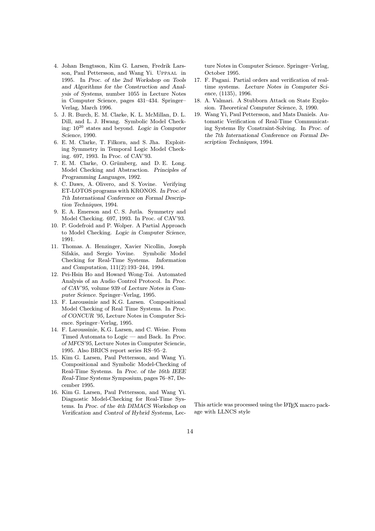- 4. Johan Bengtsson, Kim G. Larsen, Fredrik Larsson, Paul Pettersson, and Wang Yi. Uppaal in 1995. In Proc. of the 2nd Workshop on Tools and Algorithms for the Construction and Analysis of Systems, number 1055 in Lecture Notes in Computer Science, pages 431–434. Springer– Verlag, March 1996.
- 5. J. R. Burch, E. M. Clarke, K. L. McMillan, D. L. Dill, and L. J. Hwang. Symbolic Model Checking:  $10^{20}$  states and beyond. Logic in Computer Science, 1990.
- 6. E. M. Clarke, T. Filkorn, and S. Jha. Exploiting Symmetry in Temporal Logic Model Checking. 697, 1993. In Proc. of CAV'93.
- 7. E. M. Clarke, O. Grümberg, and D. E. Long. Model Checking and Abstraction. Principles of Programming Languages, 1992.
- 8. C. Daws, A. Olivero, and S. Yovine. Verifying ET-LOTOS programs with KRONOS. In Proc. of 7th International Conference on Formal Description Techniques, 1994.
- 9. E. A. Emerson and C. S. Jutla. Symmetry and Model Checking. 697, 1993. In Proc. of CAV'93.
- 10. P. Godefroid and P. Wolper. A Partial Approach to Model Checking. Logic in Computer Science, 1991.
- 11. Thomas. A. Henzinger, Xavier Nicollin, Joseph Sifakis, and Sergio Yovine. Symbolic Model Checking for Real-Time Systems. Information and Computation, 111(2):193–244, 1994.
- 12. Pei-Hsin Ho and Howard Wong-Toi. Automated Analysis of an Audio Control Protocol. In Proc. of CAV'95, volume 939 of Lecture Notes in Computer Science. Springer–Verlag, 1995.
- 13. F. Laroussinie and K.G. Larsen. Compositional Model Checking of Real Time Systems. In Proc. of CONCUR '95, Lecture Notes in Computer Science. Springer–Verlag, 1995.
- 14. F. Laroussinie, K.G. Larsen, and C. Weise. From Timed Automata to Logic — and Back. In Proc. of MFCS'95, Lecture Notes in Computer Sciencie, 1995. Also BRICS report series RS–95–2.
- 15. Kim G. Larsen, Paul Pettersson, and Wang Yi. Compositional and Symbolic Model-Checking of Real-Time Systems. In Proc. of the 16th IEEE Real-Time Systems Symposium, pages 76–87, December 1995.
- 16. Kim G. Larsen, Paul Pettersson, and Wang Yi. Diagnostic Model-Checking for Real-Time Systems. In Proc. of the 4th DIMACS Workshop on Verification and Control of Hybrid Systems, Lec-

ture Notes in Computer Science. Springer–Verlag, October 1995.

- 17. F. Pagani. Partial orders and verification of realtime systems. Lecture Notes in Computer Science, (1135), 1996.
- 18. A. Valmari. A Stubborn Attack on State Explosion. Theoretical Computer Science, 3, 1990.
- 19. Wang Yi, Paul Pettersson, and Mats Daniels. Automatic Verification of Real-Time Communicating Systems By Constraint-Solving. In Proc. of the 7th International Conference on Formal Description Techniques, 1994.

This article was processed using the L<sup>AT</sup>EX macro package with LLNCS style